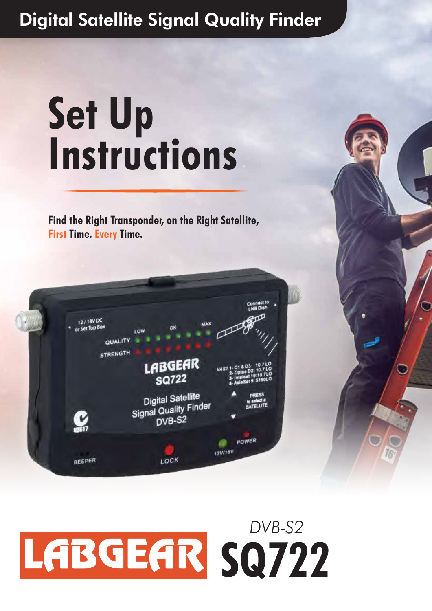# **Set Up Instructions**

**Find the Right Transponder, on the Right Satellite, First Time. Every Time.**



## LABGEAR SQ722 *DVB-S2*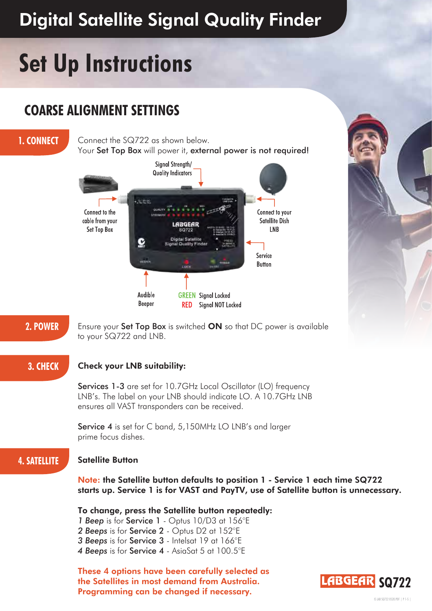## **Set Up Instructions**

### **COARSE ALIGNMENT SETTINGS**

**1. CONNECT** Connect the SQ722 as shown below. Your Set Top Box will power it, external power is not required!





**2. POWER** Ensure your Set Top Box is switched ON so that DC power is available to your SQ722 and LNB.

### **3. CHECK Check your LNB suitability:**

Services 1-3 are set for 10.7GHz Local Oscillator (LO) frequency LNB's. The label on your LNB should indicate LO. A 10.7GHz LNB ensures all VAST transponders can be received.

Service 4 is set for C band, 5,150MHz LO LNB's and larger prime focus dishes.

### **4. SATELLITE Satellite Button**

Note: the Satellite button defaults to position 1 - Service 1 each time SQ722 starts up. Service 1 is for VAST and PayTV, use of Satellite button is unnecessary.

To change, press the Satellite button repeatedly:

- *1 Beep* is for Service 1 Optus 10/D3 at 156°E
- *2 Beeps* is for Service 2 Optus D2 at 152°E
- *3 Beeps* is for Service 3 Intelsat 19 at 166°E
- *4 Beeps* is for Service 4 AsiaSat 5 at 100.5°E

These 4 options have been carefully selected as the Satellites in most demand from Australia. Programming can be changed if necessary.

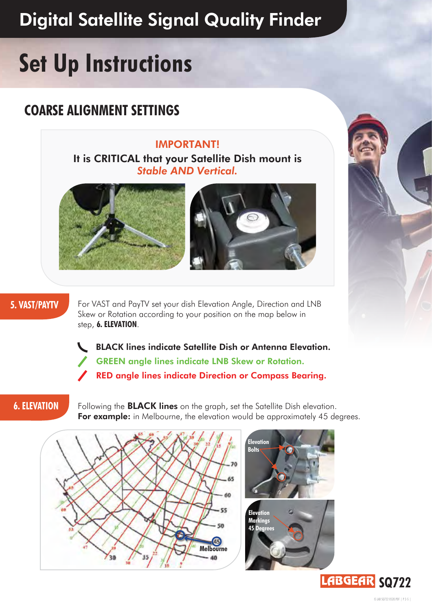## **Set Up Instructions**

## **COARSE ALIGNMENT SETTINGS**

IMPORTANT! It is CRITICAL that your Satellite Dish mount is *Stable AND Vertical.*





**5. VAST/PAYTV** For VAST and PayTV set your dish Elevation Angle, Direction and LNB Skew or Rotation according to your position on the map below in step, **6. ELEVATION**.

> BLACK lines indicate Satellite Dish or Antenna Elevation. GREEN angle lines indicate LNB Skew or Rotation. RED angle lines indicate Direction or Compass Bearing.

**6. ELEVATION** Following the **BLACK lines** on the graph, set the Satellite Dish elevation. For example: in Melbourne, the elevation would be approximately 45 degrees.







IS LAB SQ722 0520.PDF | P 2-5 |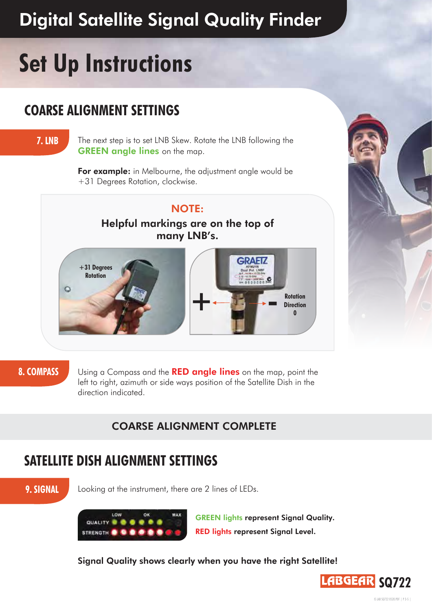## **Set Up Instructions**

### **COARSE ALIGNMENT SETTINGS**

**7. LNB** The next step is to set LNB Skew. Rotate the LNB following the GREEN angle lines on the map.

> For example: in Melbourne, the adjustment angle would be +31 Degrees Rotation, clockwise.

### NOTE:

Helpful markings are on the top of many LNB's.



**8. COMPASS** Using a Compass and the **RED angle lines** on the map, point the left to right, azimuth or side ways position of the Satellite Dish in the direction indicated.

### COARSE ALIGNMENT COMPLETE

### **SATELLITE DISH ALIGNMENT SETTINGS**

**9. SIGNAL** Looking at the instrument, there are 2 lines of LEDs.



GREEN lights represent Signal Quality. RED lights represent Signal Level.

Signal Quality shows clearly when you have the right Satellite!

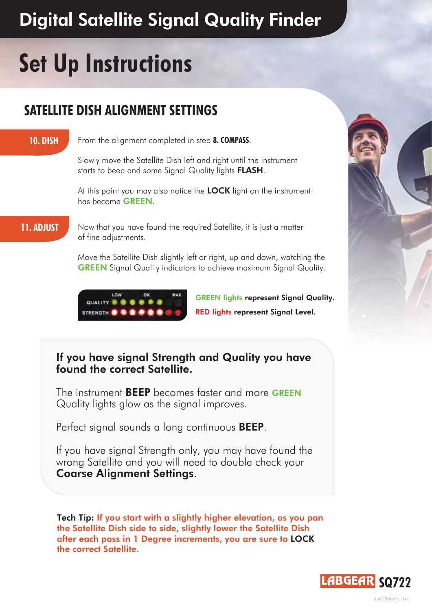## **Set Up Instructions**

## **SATELLITE DISH ALIGNMENT SETTINGS**

**10. DISH** From the alignment completed in step **8. COMPASS**.

Slowly move the Satellite Dish left and right until the instrument starts to beep and some Signal Quality lights **FLASH**.

At this point you may also notice the **LOCK** light on the instrument has become GREEN.

**11. ADJUST** Now that you have found the required Satellite, it is just a matter of fine adjustments.

> Move the Satellite Dish slightly left or right, up and down, watching the GREEN Signal Quality indicators to achieve maximum Signal Quality.



GREEN lights represent Signal Quality. RED lights represent Signal Level.

### If you have signal Strength and Quality you have found the correct Satellite.

The instrument BEEP becomes faster and more GREEN Quality lights glow as the signal improves.

Perfect signal sounds a long continuous **BEEP**.

If you have signal Strength only, you may have found the wrong Satellite and you will need to double check your Coarse Alignment Settings.

Tech Tip: If you start with a slightly higher elevation, as you pan the Satellite Dish side to side, slightly lower the Satellite Dish after each pass in 1 Degree increments, you are sure to LOCK the correct Satellite.



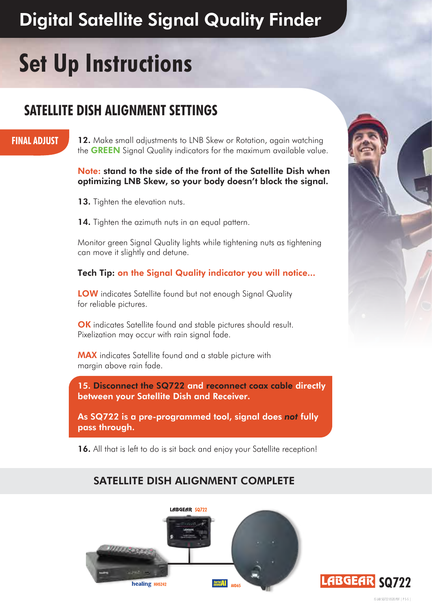## **Set Up Instructions**

### **SATELLITE DISH ALIGNMENT SETTINGS**

### **FINAL ADJUST**

12. Make small adjustments to LNB Skew or Rotation, again watching the **GREEN** Signal Quality indicators for the maximum available value.

### Note: stand to the side of the front of the Satellite Dish when optimizing LNB Skew, so your body doesn't block the signal.

- 13. Tighten the elevation nuts.
- 14. Tighten the azimuth nuts in an equal pattern.

Monitor green Signal Quality lights while tightening nuts as tightening can move it slightly and detune.

### Tech Tip: on the Signal Quality indicator you will notice...

**LOW** indicates Satellite found but not enough Signal Quality for reliable pictures.

OK indicates Satellite found and stable pictures should result. Pixelization may occur with rain signal fade.

MAX indicates Satellite found and a stable picture with margin above rain fade.

15. Disconnect the SQ722 and reconnect coax cable directly between your Satellite Dish and Receiver.

As SQ722 is a pre-programmed tool, signal does *not* fully pass through.

16. All that is left to do is sit back and enjoy your Satellite reception!

### SATELLITE DISH ALIGNMENT COMPLETE





IS LAB SQ722 0520.PDF | P 5-5 |